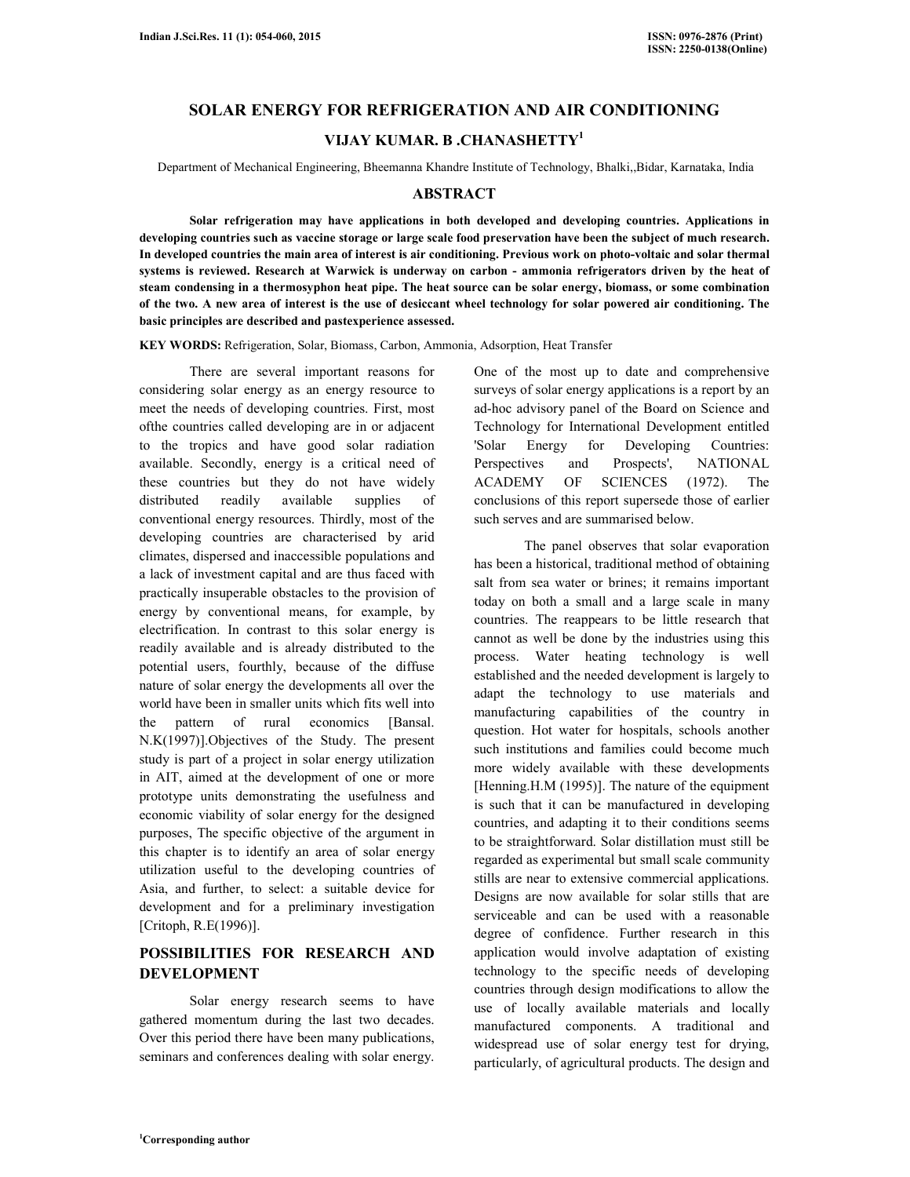# **SOLAR ENERGY FOR REFRIGERATION AND AIR CONDITIONING**

# **VIJAY KUMAR. B .CHANASHETTY<sup>1</sup>**

Department of Mechanical Engineering, Bheemanna Khandre Institute of Technology, Bhalki,,Bidar, Karnataka, India

## **ABSTRACT**

 **Solar refrigeration may have applications in both developed and developing countries. Applications in developing countries such as vaccine storage or large scale food preservation have been the subject of much research. In developed countries the main area of interest is air conditioning. Previous work on photo-voltaic and solar thermal systems is reviewed. Research at Warwick is underway on carbon - ammonia refrigerators driven by the heat of steam condensing in a thermosyphon heat pipe. The heat source can be solar energy, biomass, or some combination of the two. A new area of interest is the use of desiccant wheel technology for solar powered air conditioning. The basic principles are described and pastexperience assessed.** 

**KEY WORDS:** Refrigeration, Solar, Biomass, Carbon, Ammonia, Adsorption, Heat Transfer

There are several important reasons for considering solar energy as an energy resource to meet the needs of developing countries. First, most ofthe countries called developing are in or adjacent to the tropics and have good solar radiation available. Secondly, energy is a critical need of these countries but they do not have widely distributed readily available supplies of conventional energy resources. Thirdly, most of the developing countries are characterised by arid climates, dispersed and inaccessible populations and a lack of investment capital and are thus faced with practically insuperable obstacles to the provision of energy by conventional means, for example, by electrification. In contrast to this solar energy is readily available and is already distributed to the potential users, fourthly, because of the diffuse nature of solar energy the developments all over the world have been in smaller units which fits well into the pattern of rural economics [Bansal. N.K(1997)].Objectives of the Study. The present study is part of a project in solar energy utilization in AIT, aimed at the development of one or more prototype units demonstrating the usefulness and economic viability of solar energy for the designed purposes, The specific objective of the argument in this chapter is to identify an area of solar energy utilization useful to the developing countries of Asia, and further, to select: a suitable device for development and for a preliminary investigation [Critoph, R.E(1996)].

# **POSSIBILITIES FOR RESEARCH AND DEVELOPMENT**

 Solar energy research seems to have gathered momentum during the last two decades. Over this period there have been many publications, seminars and conferences dealing with solar energy.

One of the most up to date and comprehensive surveys of solar energy applications is a report by an ad-hoc advisory panel of the Board on Science and Technology for International Development entitled 'Solar Energy for Developing Countries: Perspectives and Prospects', NATIONAL ACADEMY OF SCIENCES (1972). The conclusions of this report supersede those of earlier such serves and are summarised below.

 The panel observes that solar evaporation has been a historical, traditional method of obtaining salt from sea water or brines; it remains important today on both a small and a large scale in many countries. The reappears to be little research that cannot as well be done by the industries using this process. Water heating technology is well established and the needed development is largely to adapt the technology to use materials and manufacturing capabilities of the country in question. Hot water for hospitals, schools another such institutions and families could become much more widely available with these developments [Henning.H.M (1995)]. The nature of the equipment is such that it can be manufactured in developing countries, and adapting it to their conditions seems to be straightforward. Solar distillation must still be regarded as experimental but small scale community stills are near to extensive commercial applications. Designs are now available for solar stills that are serviceable and can be used with a reasonable degree of confidence. Further research in this application would involve adaptation of existing technology to the specific needs of developing countries through design modifications to allow the use of locally available materials and locally manufactured components. A traditional and widespread use of solar energy test for drying, particularly, of agricultural products. The design and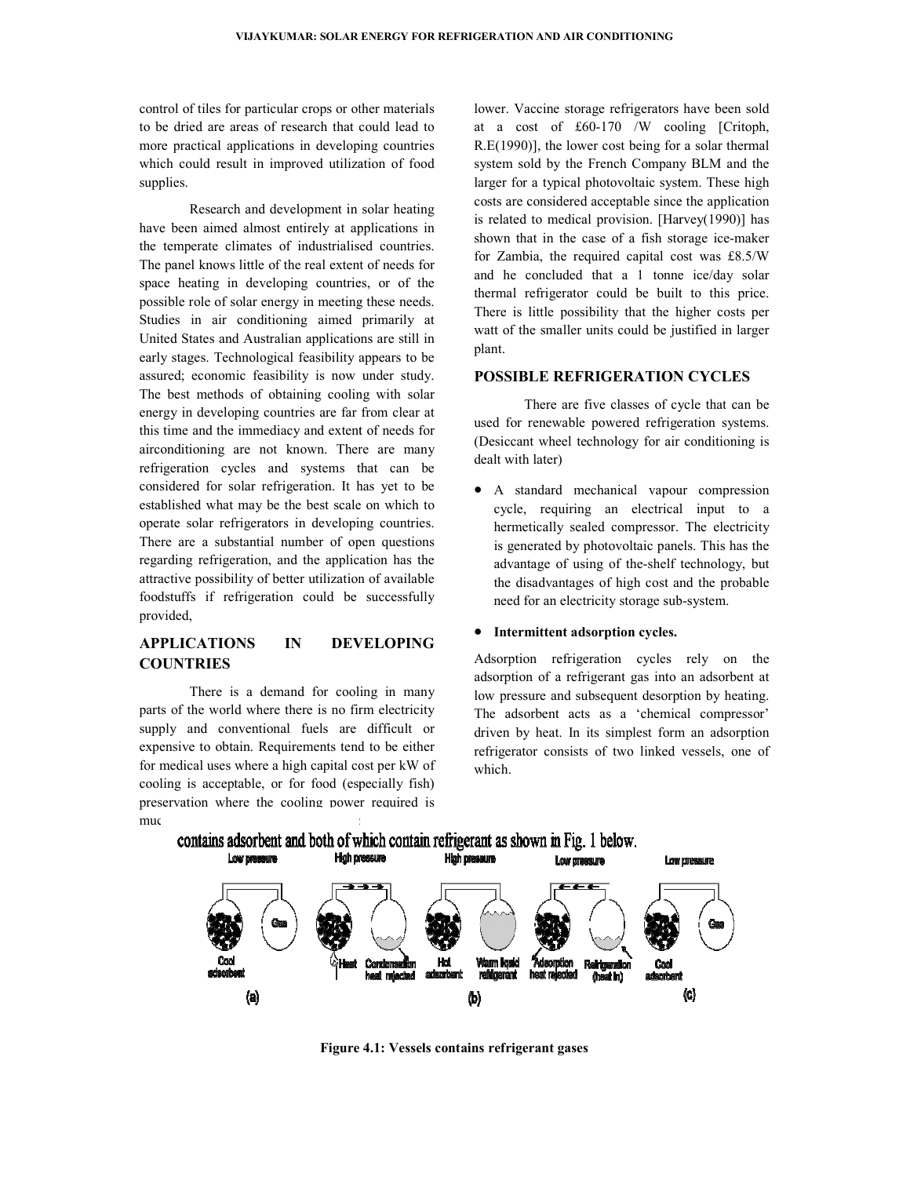control of tiles for particular crops or other materials to be dried are areas of research that could lead to more practical applications in developing countries which could result in improved utilization of food supplies.

Research and development in solar heating have been aimed almost entirely at applications in the temperate climates of industrialised countries. The panel knows little of the real extent of needs for space heating in developing countries, or of the possible role of solar energy in meeting these needs. Studies in air conditioning aimed primarily at United States and Australian applications are still in early stages. Technological feasibility appears to be assured; economic feasibility is now under study. The best methods of obtaining cooling with solar energy in developing countries are far from clear at this time and the immediacy and extent of needs for airconditioning are not known. There are many refrigeration cycles and systems that can be considered for solar refrigeration. It has yet to be established what may be the best scale on which to operate solar refrigerators in developing countries. There are a substantial number of open questions regarding refrigeration, and the application has the attractive possibility of better utilization of available foodstuffs if refrigeration could be successfully provided, applications in developing countries<br>sult in improved utilization of food<br>ch and development in solar heating<br>ed almost entirely at applications in<br>climates of industrialised countries. applications are still in<br>easibility appears to be<br> $\gamma$  is now under study.<br>ing cooling with solar<br>es are far from clear at sidered for solar refrigeration. It has yet to be<br>blished what may be the best scale on which to<br>rate solar refrigerators in developing countries.<br>re are a substantial number of open questions<br>arding refrigeration, and the if this for particular crops or other matrix lower. Vaccine storage refrigerators have been soldied at a cost of £60-170 AW cooling [Citioph, the interaction and evolutions in eleventy incomines is Re(1990)), the lower cos

# **APPLICATIONS IN DEVELOPING COUNTRIES**

There is a demand for cooling in many parts of the world where there is no firm electricity supply and conventional fuels are difficult or expensive to obtain. Requirements tend to be either for medical uses where a high capital cost per kW of cooling is acceptable, or for food (especially fish) preservation where the cooling power required is  $muc$ 

at a cost of £60-170 /W cooling [Critoph, R.E(1990)], the lower cost being for a solar thermal R.E(1990)], the lower cost being for a solar thermal<br>system sold by the French Company BLM and the larger for a typical photovoltaic system. These high costs are considered acceptable since the application is related to medical provision. [Harvey(1990)] has shown that in the case of a fish storage ice-maker for Zambia, the required capital cost was £8.5/W and he concluded that a 1 tonne ice/day solar thermal refrigerator could be built to this price. There is little possibility that the higher costs per watt of the smaller units could be justified in larger plant.

# **POSSIBLE REFRIGERATION CYCL CYCLES**

There are five classes of cycle that can be used for renewable powered refrigeration systems. (Desiccant wheel technology for air conditioning is dealt with later)

• A standard mechanical vapour compression cycle, requiring an electrical input to a hermetically sealed compressor. The electricity is generated by photovoltaic panels. This has the advantage of using of the-shelf technology, but the disadvantages of high cost and the probable need for an electricity storage sub There are five classes of cycle that can be<br>used for renewable powered refrigeration systems.<br>(Desiccant wheel technology for air conditioning is<br>dealt with later)<br>• A standard mechanical vapour compression<br>cycle, requirin shelf technolog<br>cost and the pr<br>ge sub-system.

# • **Intermittent adsorption cycles. ion**

Adsorption refrigeration cycles rely on the adsorption of a refrigerant gas into an adsorbent at low pressure and subsequent desorption by heating. The adsorbent acts as a 'chemical compressor' driven by heat. In its simplest form an adsorptio refrigerator consists of two linked vessels, one of which. refrigeration cycles rely on the<br>of a refrigerant gas into an adsorbent at<br>re and subsequent desorption by heating.<br>bent acts as a 'chemical compressor'<br>heat. In its simplest form an adsorption





**Figure 4.1: Vessels contains refrigerant gases**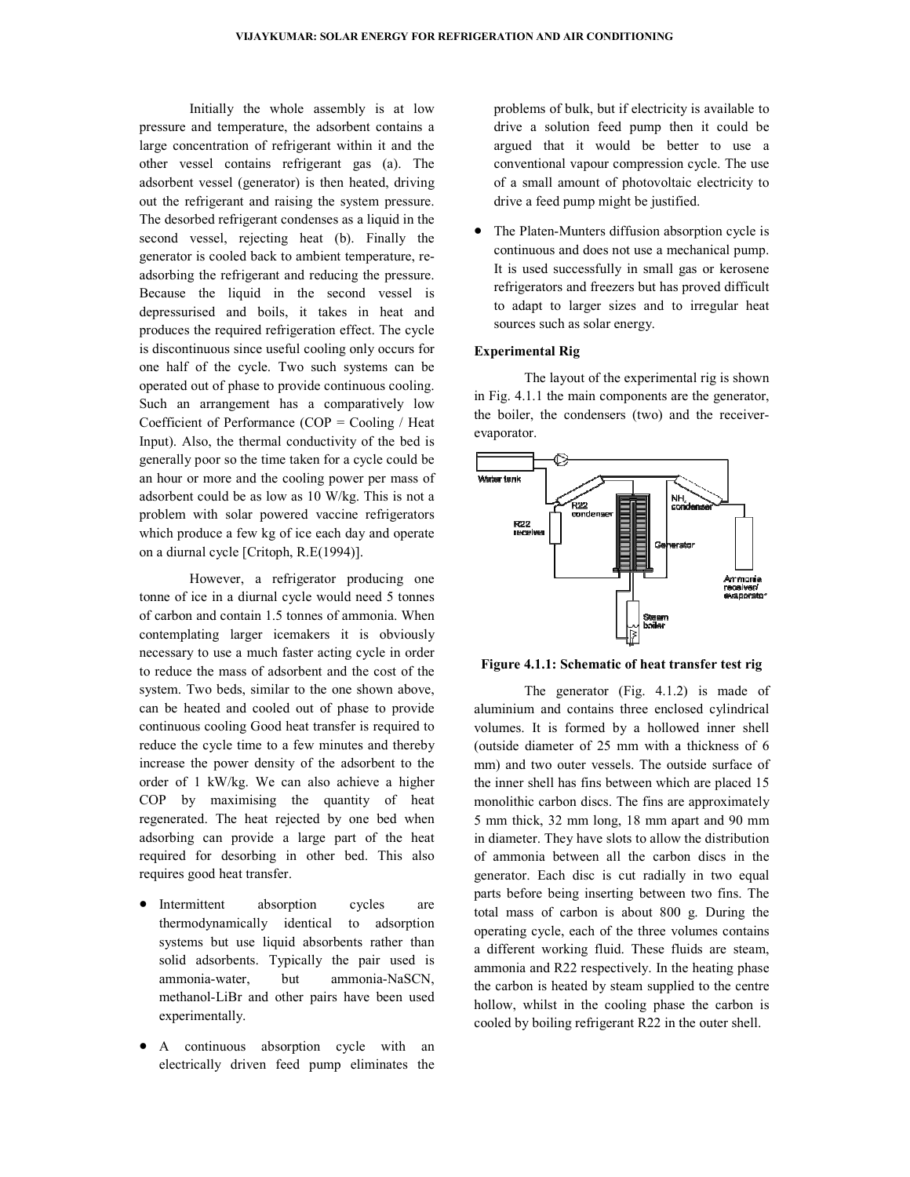Initially the whole assembly is at low pressure and temperature, the adsorbent contains a large concentration of refrigerant within it and the other vessel contains refrigerant gas (a). The adsorbent vessel (generator) is then heated, driving out the refrigerant and raising the system pressure. The desorbed refrigerant condenses as a liquid in the second vessel, rejecting heat (b). Finally the generator is cooled back to ambient temperature, re adsorbing the refrigerant and reducing the pressure. Because the liquid in the second vessel is depressurised and boils, it takes in heat and produces the required refrigeration effect. The cycle is discontinuous since useful cooling only occurs for one half of the cycle. Two such systems can be operated out of phase to provide continuous cooling. Such an arrangement has a comparatively low Coefficient of Performance ( $COP =$  Cooling / Heat Input). Also, the thermal conductivity of the bed is generally poor so the time taken for a cycle could be an hour or more and the cooling power per mass of adsorbent could be as low as 10 W/kg. This is not a problem with solar powered vaccine refrigerators which produce a few kg of ice each day and operate on a diurnal cycle [Critoph, R.E(1994)]. on a diurnal cycle [Critoph, R.E(1994)] Initially the whole assembly is at low<br>pressure and temperature, the adsorbent contains a<br>large concentration of refrigerant within it and the<br>other vessel contains refrigerant gas (a). The<br>adsorbent vessel (generator) is adsorbing the refrigerant and reducing the pressure.<br>Because the liquid in the second vessel is<br>depressurised and boils, it takes in heat and<br>produces the required refrigeration effect. The cycle<br>is discontinuous since use

However, a refrigerator producing one tonne of ice in a diurnal cycle would need 5 tonnes of carbon and contain 1.5 tonnes of ammonia. When contemplating larger icemakers it is obviously necessary to use a much faster acting cycle in order to reduce the mass of adsorbent and the cost of the system. Two beds, similar to the one shown above, can be heated and cooled out of phase to provide continuous cooling Good heat transfer is required to reduce the cycle time to a few minutes and thereby increase the power density of the adsorbent to the order of 1 kW/kg. We can also achieve a higher COP by maximising the quantity of heat regenerated. The heat rejected by one bed when adsorbing can provide a large part of the heat required for desorbing in other bed. This also requires good heat transfer. tonne of ice in a diurnal cycle would need 5 tonnes<br>of carbon and contain 1.5 tonnes of ammonia. When<br>contemplating larger icemakers it is obviously<br>necessary to use a much faster acting cycle in order<br>to reduce the mass o stem. Two beds, similar to the one shown above,<br>
n be heated and cooled out of phase to provide<br>
ntinuous cooling Good heat transfer is required to<br>
duce the cycle time to a few minutes and thereby<br>
crease the power densit

- Intermittent absorption cycles are thermodynamically identical to adsorption systems but use liquid absorbents rather than solid adsorbents. Typically the pair used is ammonia-water, but ammonia-NaSCN, methanol-LiBr and other pairs have been used experimentally.
- A continuous absorption cycle with an electrically driven feed pump eliminates the

drive a solution feed pump then it could be argued that it would be better to use a conventional vapour compression cycle. The use of a small amount of photovoltaic electricity to drive a feed pump might be justified.

The Platen-Munters diffusion absorption cycle is continuous and does not use a mechanical pump. It is used successfully in small gas or kerosene refrigerators and freezers but has proved difficult to adapt to larger sizes and to irregular heat sources such as solar energy. isolution feed pump then it could be ed that it would be better to use a ventional vapour compression cycle. The use small amount of photovoltaic electricity to e a feed pump might be justified.<br>Platen-Munters diffusion ab

## **Experimental Rig**

The layout of the experimental rig is shown in Fig. 4.1.1 the main components are the generator, the boiler, the condensers (two) and the receiver evaporator.



Figure 4.1.1: Schematic of heat transfer test rig

If we have assembly is at low  $\frac{1}{2}$  problems of this bulk in frelaction (i.e. and the same bulk) is available to the animal contribution of the same of the same of the same of the same of the same of the same of the s The generator (Fig. 4.1.2) is made of aluminium and contains three enclosed cylindrical volumes. It is formed by a hollowed inner shell (outside diameter of 25 mm with a thickness of 6 mm) and two outer vessels. The outside surface of the inner shell has fins between which are placed 15 monolithic carbon discs. The fins are approximately 5 mm thick, 32 mm long, 18 mm apart and 90 mm in diameter. They have slots to allow the distribution of ammonia between all the carbon discs in the generator. Each disc is cut radially in two equal parts before being inserting between two fins. The total mass of carbon is about 800 g. During the operating cycle, each of the three volumes contains a different working fluid. These fluids are steam, ammonia and R22 respectively. In the heating phase the carbon is heated by steam supplied to the centre hollow, whilst in the cooling phase the carbon is cooled by boiling refrigerant R22 in the outer shell. aluminium and contains three enclosed cylindrical<br>volumes. It is formed by a hollowed inner shell<br>(outside diameter of 25 mm with a thickness of 6<br>mm) and two outer vessels. The outside surface of<br>the inner shell has fins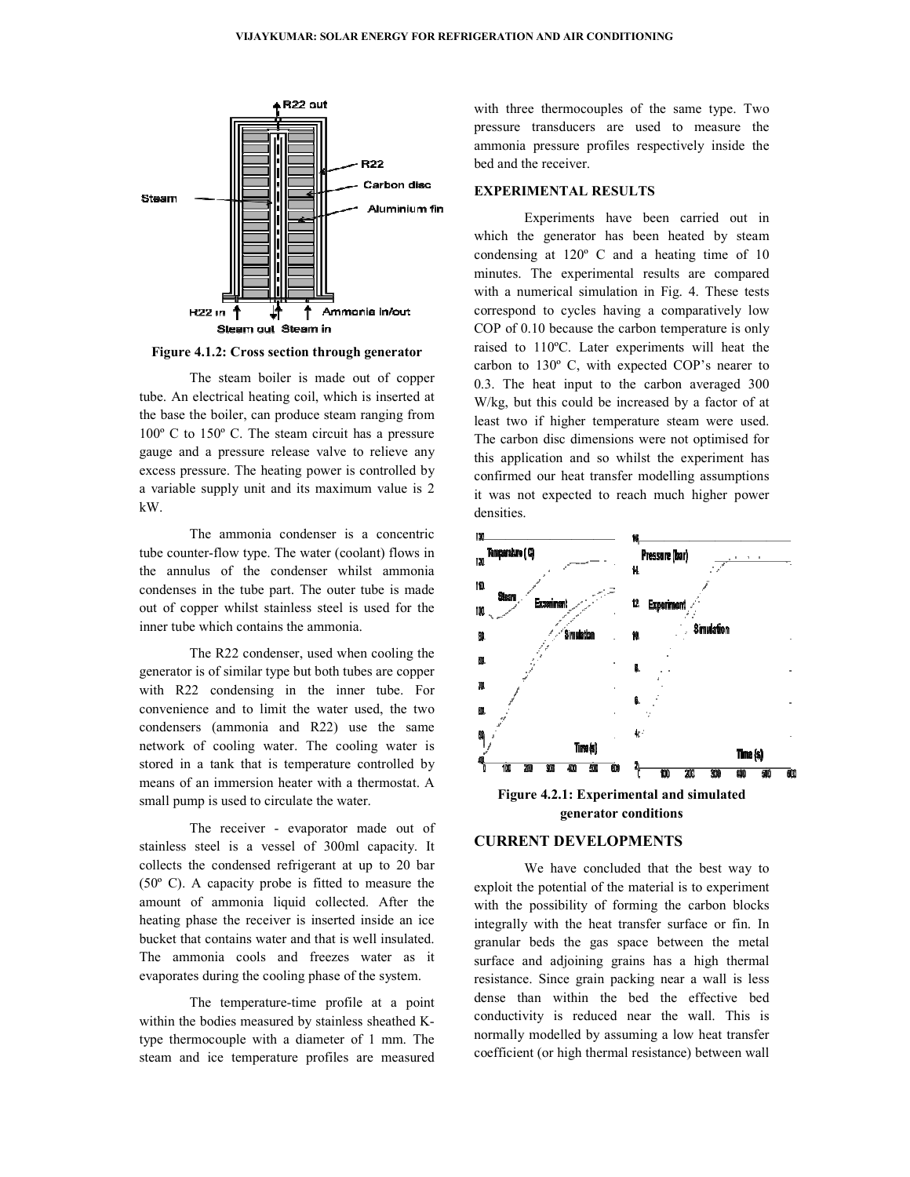

**Figure 4.1.2: Cross section through generator**

The steam boiler is made out of copper tube. An electrical heating coil, which is inserted at the base the boiler, can produce steam ranging from 100º C to 150º C. The steam circuit has a pressure gauge and a pressure release valve to relieve any excess pressure. The heating power is controlled by a variable supply unit and its maximum value is 2 kW. out steam boiler is made out of copper<br>ctrical heating coil, which is inserted at<br>boiler, can produce steam ranging from<br> $50^{\circ}$  C. The steam circuit has a pressure<br>pressure release valve to relieve any<br>ure. The heating

The ammonia condenser is a concentric tube counter-flow type. The water (coolant) flows in the annulus of the condenser whilst ammonia condenses in the tube part. The outer tube is made out of copper whilst stainless steel is u inner tube which contains the ammonia.

The R22 condenser, used when cooling the generator is of similar type but both tubes are copper with R22 condensing in the inner tube. For convenience and to limit the water used, the two condensers (ammonia and R22) use the same network of cooling water. The cooling water is stored in a tank that is temperature controlled by means of an immersion heater with a thermostat. A small pump is used to circulate the water. R22 condenser, used when cooling the<br>of similar type but both tubes are copper<br>condensing in the inner tube. For<br>and to limit the water used, the two<br>(ammonia and R22) use the same<br>cooling water. The cooling water is<br>tank

The receiver - evaporator made out of stainless steel is a vessel of 300ml capacity. It collects the condensed refrigerant at up to 20 bar (50º C). A capacity probe is fitted to measure the amount of ammonia liquid collected. After the heating phase the receiver is inserted inside an ice bucket that contains water and that is wel The ammonia cools and freezes water as it evaporates during the cooling phase of the system. condensed refrigerant at up to 20 bar<br>capacity probe is fitted to measure the<br>ammonia liquid collected. After the<br>se the receiver is inserted inside an ice<br>contains water and that is well insulated.

 The temperature-time profile at a point The ammonia cools and freezes water as it<br>evaporates during the cooling phase of the system.<br>The temperature-time profile at a point<br>within the bodies measured by stainless sheathed Ktype thermocouple with a diameter of 1 mm. The steam and ice temperature profiles are measured pressure transducers are used to measure the ammonia pressure profiles respectively inside the bed and the receiver.

#### **EXPERIMENTAL RESULTS**

which there there exist the same teget has the same type. The same of the same type of the same teget of the same of the same of the same of the same of the same of the same of the same of the same of the same of the same Experiments have been carried out in which the generator has been heated by steam condensing at 120º C and a heating time of 10 minutes. The experimental results are compared with a numerical simulation in Fig. 4. These tests correspond to cycles having a comparatively low COP of 0.10 because the carbon temperature is only raised to 110ºC. Later experiments will heat the carbon to 130º C, with expected COP's nearer to 0.3. The heat input to the carbon averaged 300 W/kg, but this could be increased by a factor of at least two if higher temperature steam were used. The carbon disc dimensions were not optimised for this application and so whilst the experiment has confirmed our heat transfer modelling assumptions it was not expected to reach much higher power densities. 120° C and a heating time of experimental results are compared cal simulation in Fig. 4. These to cycles having a comparatively lecause the carbon temperature is o  $^{\circ}$ C. Later experiments will heat  $^{\circ}$  C, with expec



**generator conditions**

### **CURRENT DEVELOPMENTS EVELOPMENTS**

We have concluded that the best way to exploit the potential of the material is to experiment with the possibility of forming the carbon blocks integrally with the heat transfer surface or fin. In granular beds the gas space between the metal surface and adjoining grains has a high thermal resistance. Since grain packing near a wall is less dense than within the bed the effective bed conductivity is reduced near the wall. This is normally modelled by assuming a low heat transfer coefficient (or high thermal resistance) between wall is have concluded that the best way to potential of the material is to experiment possibility of forming the carbon blocks with the heat transfer surface or fin. In eds the gas space between the metal di adjoining grains h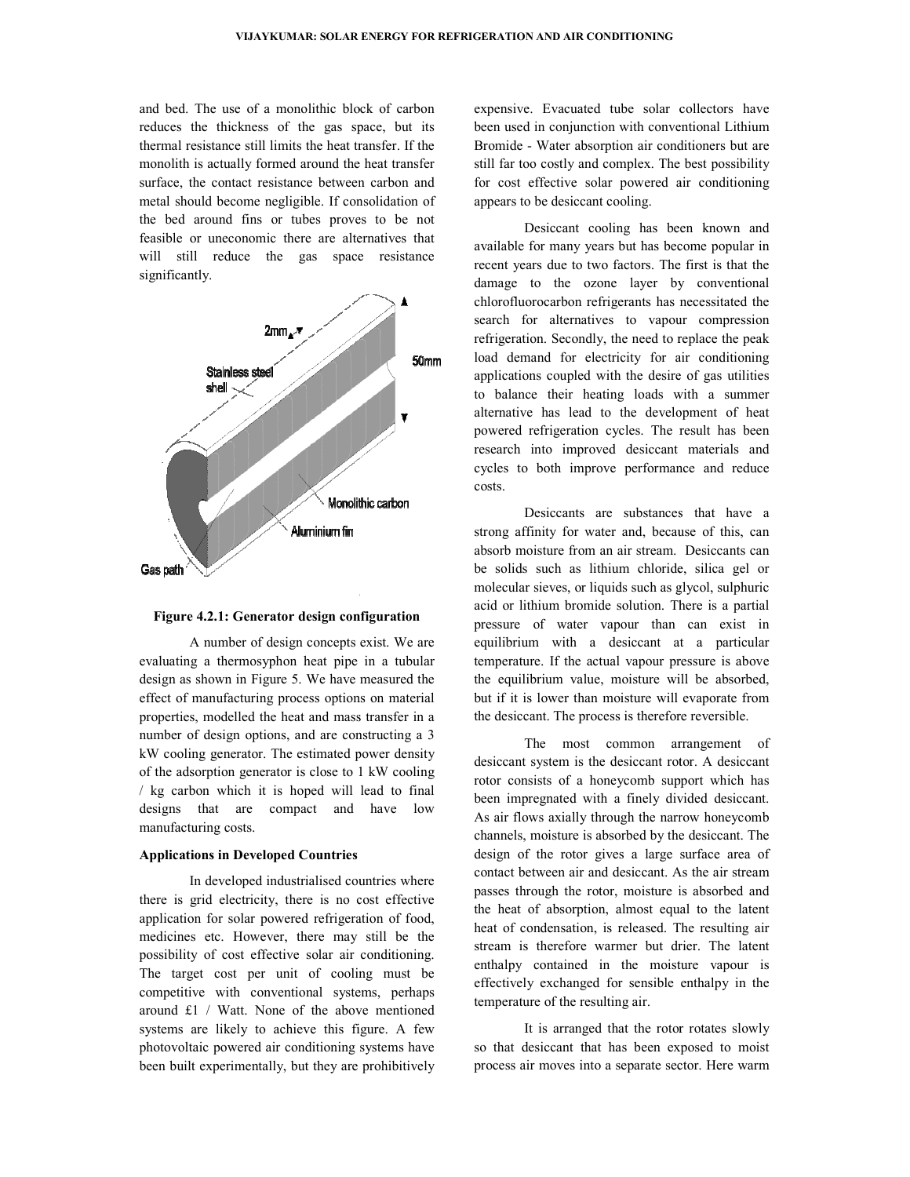and bed. The use of a monolithic block of carbon reduces the thickness of the gas space, but its thermal resistance still limits the heat transfer. If the monolith is actually formed around the heat transfer surface, the contact resistance between carbon and metal should become negligible. If consolidation of the bed around fins or tubes proves to be not feasible or uneconomic there are alternatives that will still reduce the gas space resistance significantly. ie use of a monolithic block of carbon<br>thickness of the gas space, but its<br>stance still limits the heat transfer. If the<br>actually formed around the heat transfer<br>contact resistance between carbon and<br>d become negligible. I



**Figure 4.2.1: Generator design configuration erator design** 

A number of design concepts exist. We are evaluating a thermosyphon heat pipe in a tubular design as shown in Figure 5. We have measured the effect of manufacturing process options on material effect of manufacturing process options on material properties, modelled the heat and mass transfer in a number of design options, and are constructing a 3 kW cooling generator. The estimated power density of the adsorption generator is close to 1 kW cooling / kg carbon which it is hoped will lead to final designs that are compact and have low manufacturing costs. ties, modelled the heat and mass transfer in a<br>r of design options, and are constructing a 3<br>oling generator. The estimated power density<br>adsorption generator is close to 1 kW cooling<br>arbon which it is hoped will lead to f

#### **Applications in Developed Countries**

In developed industrialised countries where there is grid electricity, there is no cost effective application for solar powered refrigeration of food, medicines etc. However, there may still be possibility of cost effective solar air conditioning. The target cost per unit of cooling must be competitive with conventional systems, perhaps around £1 / Watt. None of the above mentioned systems are likely to achieve this figure. A few photovoltaic powered air conditioning systems have been built experimentally, but they are prohibitively veloped industrialised countries where<br>electricity, there is no cost effective<br>r solar powered refrigeration of food,<br>... However, there may still be the

been used in conjunction with conventional Lithium Bromide - Water absorption air conditioners but are still far too costly and complex. The best possibility for cost effective solar powered air conditioning appears to be desiccant cooling. oo costly and complex. The best possibility<br>effective solar powered air conditioning<br>co be desiccant cooling.<br>Desiccant cooling has been known and<br>for many years but has become popular in<br>ears due to two factors. The first

Desiccant cooling has been known and available for many years but has become popular in recent years due to two factors. The first is that the damage to the ozone layer by conventional chlorofluorocarbon refrigerants has necessitated the search for alternatives to vapour compression refrigeration. Secondly, the need to replace the peak load demand for electricity for air conditioning applications coupled with the desire of gas utilities to balance their heating loads with a summer alternative has lead to the development of heat powered refrigeration cycles. The result has been research into improved desiccant materials and cycles to both improve performance and reduce costs. alternatives to vapour compression<br>Secondly, the need to replace the peak<br>I for electricity for air conditioning

Desiccants are substances that have a strong affinity for water and, because of this, can absorb moisture from an air stream. Desiccants can be solids such as lithium chloride, silica gel or molecular sieves, or liquids such as glycol, sulphuric acid or lithium bromide solution. There is a partial pressure of water vapour than can exist in equilibrium with a desiccant at a particular temperature. If the actual vapour pressure is above the equilibrium value, moisture will be absorbed, but if it is lower than moisture will evaporate from the desiccant. The process is therefore reversible. research into improved desiccant materials and cycles to both improve performance and reduce costs.<br>
Desiccants are substances that have a strong affinity for water and, because of this, can absorb moisture from an air str

The most common arrangement of desiccant system is the desiccant rotor. A desiccant rotor consists of a honeycomb support which has been impregnated with a finely divided desiccant. As air flows axially through the narrow honeycomb channels, moisture is absorbed by the desiccant. The design of the rotor gives a large surface area of contact between air and desiccant. As the ai passes through the rotor, moisture is absorbed and the heat of absorption, almost equal to the latent heat of condensation, is released. The resulting air stream is therefore warmer but drier. The latent enthalpy contained in the moisture vapour is effectively exchanged for sensible enthalpy in the temperature of the resulting air. flows axially through the narrow honeycomb<br>ls, moisture is absorbed by the desiccant. The<br>of the rotor gives a large surface area of<br>t between air and desiccant. As the air stream

It is arranged that the rotor rotates slowly It is arranged that the rotor rotates slowly<br>so that desiceant that has been exposed to moist process air moves into a separate sector. Here warm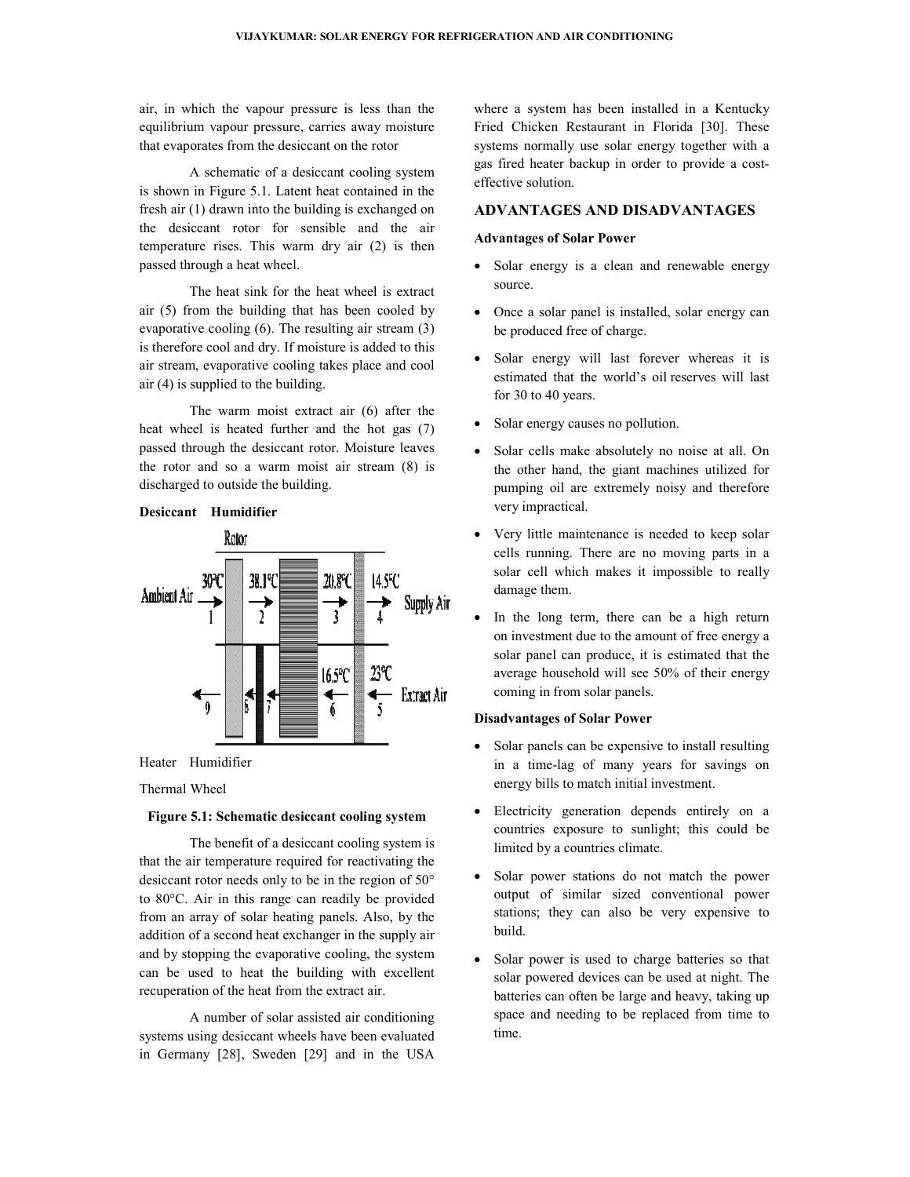air, in which the vapour pressure is less than the equilibrium vapour pressure, carries away moisture that evaporates from the desiccant on the rotor

A schematic of a desiccant cooling system is shown in Figure 5.1. Latent heat contained in the fresh air (1) drawn into the building is exchanged on the desiccant rotor for sensible and the air temperature rises. This warm dry air (2) is then passed through a heat wheel.

The heat sink for the heat wheel is extract air (5) from the building that has been cooled by evaporative cooling (6). The resulting air stream (3) is therefore cool and dry. If moisture is added to this air stream, evaporative cooling takes place and cool air (4) is supplied to the building. n which the vapour pressure is less than the bibrium vapour pressure, carries away moisture vaporates from the desiccant ooling system  $\Delta$  and the air (1) drawn into the building is exchanged on desiccant rotor for sensib

The warm moist extract air (6) after the heat wheel is heated further and the hot gas (7) passed through the desiccant rotor. Moisture leaves the rotor and so a warm moist air stream (8) is discharged to outside the building.

#### **Desiccant Humidifier**



Heater Humidifier

Thermal Wheel

#### **Figure 5.1: Schematic desiccant cool 5.1: Schematic desiccant cooling system**

The benefit of a desiccant cooling system is that the air temperature required for reactivating the desiccant rotor needs only to be in the region of 50° to 80°C. Air in this range can readily be provided from an array of solar heating panels. Also, by the addition of a second heat exchanger in the supply air and by stopping the evaporative cooling, the system can be used to heat the building with excellent recuperation of the heat from the extract air. region of 50°<br>nge can readily be provided<br>heating panels. Also, by the of a second heat exchanger in the supply air<br>topping the evaporative cooling, the system<br>used to heat the building with excellent<br>tion of the heat from the extract air.<br>A number of solar assisted air conditioning

A number of solar assisted air conditi systems using desiccant wheels have been evaluated in Germany [28], Sweden [29] and in the USA

Fried Chicken Restaurant in Florida [30]. These systems normally use solar energy together with a gas fired heater backup in order to provide a cost effective solution. in Florida [30]. These<br>energy together with a<br>order to provide a cost-

# **ADVANTAGES AND DISADVANTAGES**

#### **Advantages of Solar Power**

- Solar energy is a clean and renewable energy source.
- Once a solar panel is installed, solar energy can be produced free of charge.
- Solar energy will last forever whereas it is estimated that the world's oil reserves will last for 30 to 40 years.
- Solar energy causes no pollution.
- Solar cells make absolutely no noise at all. On the other hand, the giant machines utilized for pumping oil are extremely noisy and therefore very impractical. clean and renewable energy<br>is installed, solar energy can<br>charge.<br>last forever whereas it is<br>world's oil reserves will last<br>no pollution.<br>bsolutely no noise at all. On<br>e giant machines utilized for<br>stremely noisy and there
- Very little maintenance is needed to keep solar cells running. There are no moving parts in a solar cell which makes it impossible to really damage them.
- In the long term, there can be a high return on investment due to the amount of free energy a solar panel can produce, it is estimated that the average household will see 50% of their energy coming in from solar panels. cells running. There are no moving parts in<br>solar cell which makes it impossible to real<br>damage them.<br>In the long term, there can be a high retuon<br>on investment due to the amount of free energy<br>solar panel can produce, it

#### **Disadvantages of Solar Power**

- Solar panels can be expensive to install resulting in a time-lag of many years for savings on energy bills to match initial investment.
- Electricity generation depends entirely on a countries exposure to sunlight; this could be limited by a countries climate.
- Solar power stations do not match the power output of similar sized conventional power stations; they can also be very expensive to build.
- Solar power is used to charge batteries so that solar powered devices can be used at night. The batteries can often be large and heavy, taking up space and needing to be replaced from time to time.